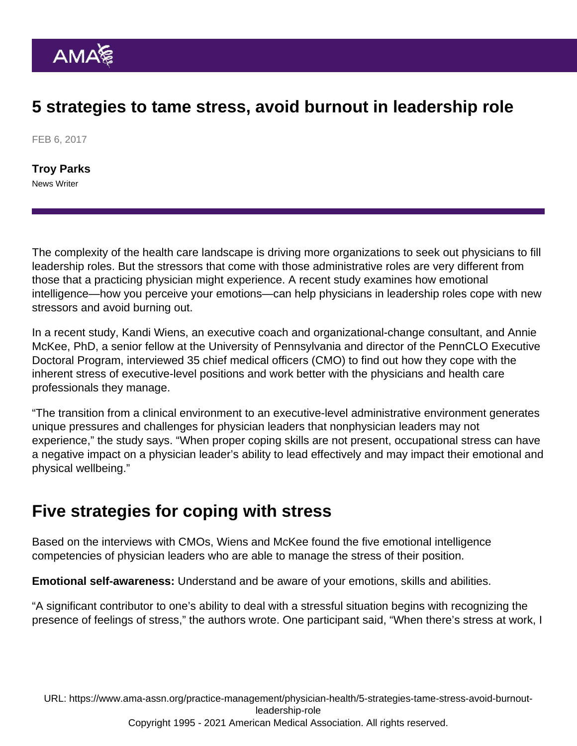## 5 strategies to tame stress, avoid burnout in leadership role

FEB 6, 2017

[Troy Parks](https://www.ama-assn.org/news-leadership-viewpoints/authors-news-leadership-viewpoints/troy-parks) News Writer

The complexity of the health care landscape is driving more organizations to seek out physicians to fill leadership roles. But the stressors that come with those administrative roles are very different from those that a practicing physician might experience. A recent study examines how emotional intelligence—how you perceive your emotions—can help physicians in leadership roles cope with new stressors and avoid burning out.

In a [recent study,](http://pqdtopen.proquest.com/doc/1848147162.html?FMT=ABS) Kandi Wiens, an executive coach and organizational-change consultant, and [Annie](http://scholar.gse.upenn.edu/mckee) [McKee](http://scholar.gse.upenn.edu/mckee), PhD, a senior fellow at the University of Pennsylvania and director of the [PennCLO Executive](http://www.pennclo.com/) [Doctoral Program](http://www.pennclo.com/), interviewed 35 chief medical officers (CMO) to find out how they cope with the inherent stress of executive-level positions and work better with the physicians and health care professionals they manage.

"The transition from a clinical environment to an executive-level administrative environment generates unique pressures and challenges for physician leaders that nonphysician leaders may not experience," the study says. "When proper coping skills are not present, occupational stress can have a negative impact on a physician leader's ability to lead effectively and may impact their emotional and physical wellbeing."

## Five strategies for coping with stress

Based on the interviews with CMOs, Wiens and McKee found the five emotional intelligence competencies of physician leaders who are able to manage the stress of their position.

Emotional self-awareness: Understand and be aware of your emotions, skills and abilities.

"A significant contributor to one's ability to deal with a stressful situation begins with recognizing the presence of feelings of stress," the authors wrote. One participant said, "When there's stress at work, I

URL: [https://www.ama-assn.org/practice-management/physician-health/5-strategies-tame-stress-avoid-burnout](https://www.ama-assn.org/practice-management/physician-health/5-strategies-tame-stress-avoid-burnout-leadership-role)[leadership-role](https://www.ama-assn.org/practice-management/physician-health/5-strategies-tame-stress-avoid-burnout-leadership-role) Copyright 1995 - 2021 American Medical Association. All rights reserved.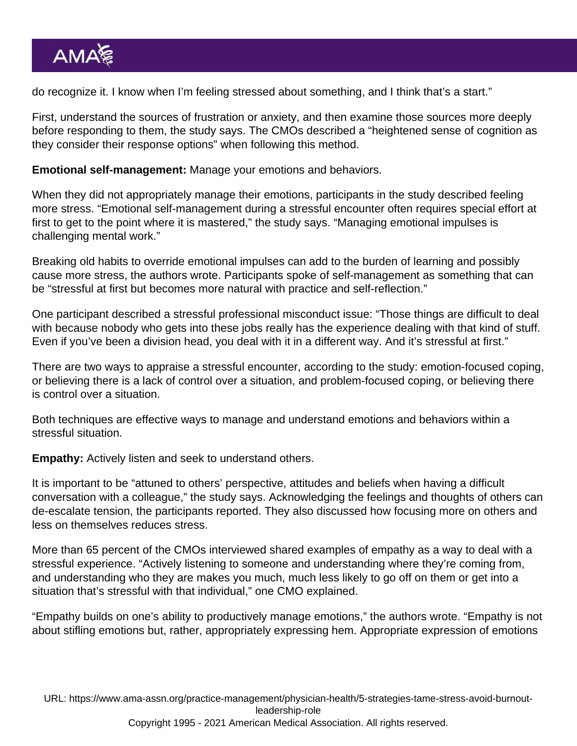do recognize it. I know when I'm feeling stressed about something, and I think that's a start."

First, understand the sources of frustration or anxiety, and then examine those sources more deeply before responding to them, the study says. The CMOs described a "heightened sense of cognition as they consider their response options" when following this method.

Emotional self-management: Manage your emotions and behaviors.

When they did not appropriately manage their emotions, participants in the study described feeling more stress. "Emotional self-management during a stressful encounter often requires special effort at first to get to the point where it is mastered," the study says. "Managing emotional impulses is challenging mental work."

Breaking old habits to override emotional impulses can add to the burden of learning and possibly cause more stress, the authors wrote. Participants spoke of self-management as something that can be "stressful at first but becomes more natural with practice and self-reflection."

One participant described a stressful professional misconduct issue: "Those things are difficult to deal with because nobody who gets into these jobs really has the experience dealing with that kind of stuff. Even if you've been a division head, you deal with it in a different way. And it's stressful at first."

There are two ways to appraise a stressful encounter, according to the study: emotion-focused coping, or believing there is a lack of control over a situation, and problem-focused coping, or believing there is control over a situation.

Both techniques are effective ways to manage and understand emotions and behaviors within a stressful situation.

Empathy: Actively listen and seek to understand others.

It is important to be "attuned to others' perspective, attitudes and beliefs when having a difficult conversation with a colleague," the study says. Acknowledging the feelings and thoughts of others can de-escalate tension, the participants reported. They also discussed how focusing more on others and less on themselves reduces stress.

More than 65 percent of the CMOs interviewed shared examples of empathy as a way to deal with a stressful experience. "Actively listening to someone and understanding where they're coming from, and understanding who they are makes you much, much less likely to go off on them or get into a situation that's stressful with that individual," one CMO explained.

"Empathy builds on one's ability to productively manage emotions," the authors wrote. "Empathy is not about stifling emotions but, rather, appropriately expressing hem. Appropriate expression of emotions

URL: [https://www.ama-assn.org/practice-management/physician-health/5-strategies-tame-stress-avoid-burnout](https://www.ama-assn.org/practice-management/physician-health/5-strategies-tame-stress-avoid-burnout-leadership-role)[leadership-role](https://www.ama-assn.org/practice-management/physician-health/5-strategies-tame-stress-avoid-burnout-leadership-role) Copyright 1995 - 2021 American Medical Association. All rights reserved.